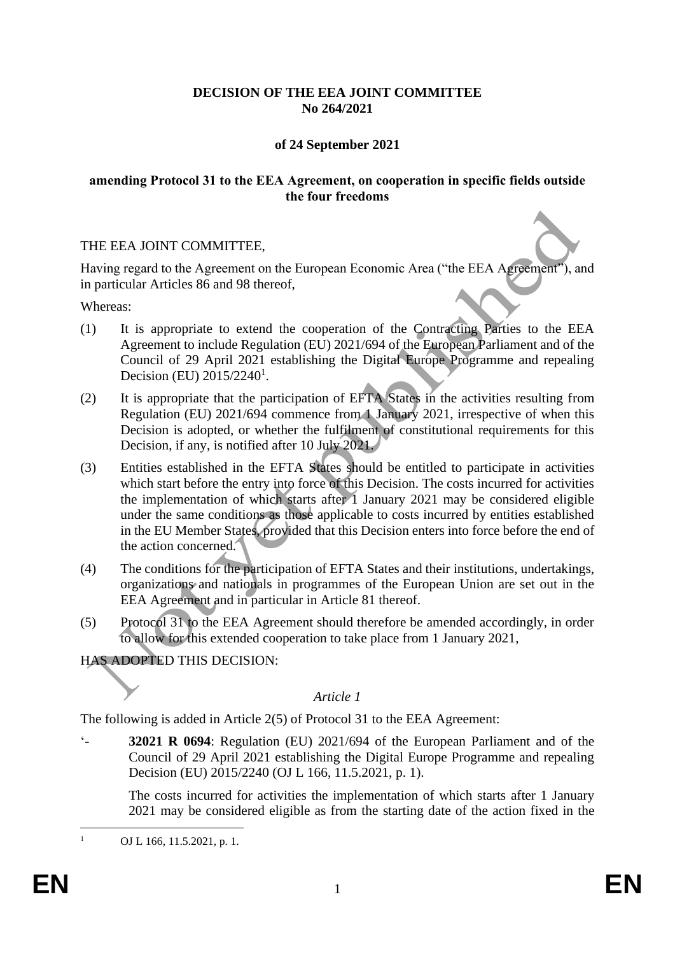# **DECISION OF THE EEA JOINT COMMITTEE No 264/2021**

# **of 24 September 2021**

#### **amending Protocol 31 to the EEA Agreement, on cooperation in specific fields outside the four freedoms**

### THE EEA JOINT COMMITTEE,

Having regard to the Agreement on the European Economic Area ("the EEA Agreement"), and in particular Articles 86 and 98 thereof,

Whereas:

- (1) It is appropriate to extend the cooperation of the Contracting Parties to the EEA Agreement to include Regulation (EU) 2021/694 of the European Parliament and of the Council of 29 April 2021 establishing the Digital Europe Programme and repealing Decision (EU) 2015/2240<sup>1</sup>.
- (2) It is appropriate that the participation of EFTA States in the activities resulting from Regulation (EU) 2021/694 commence from 1 January 2021, irrespective of when this Decision is adopted, or whether the fulfilment of constitutional requirements for this Decision, if any, is notified after 10 July 2021.
- (3) Entities established in the EFTA States should be entitled to participate in activities which start before the entry into force of this Decision. The costs incurred for activities the implementation of which starts after 1 January 2021 may be considered eligible under the same conditions as those applicable to costs incurred by entities established in the EU Member States, provided that this Decision enters into force before the end of the action concerned.
- (4) The conditions for the participation of EFTA States and their institutions, undertakings, organizations and nationals in programmes of the European Union are set out in the EEA Agreement and in particular in Article 81 thereof.
- (5) Protocol 31 to the EEA Agreement should therefore be amended accordingly, in order to allow for this extended cooperation to take place from 1 January 2021,

HAS ADOPTED THIS DECISION:

### *Article 1*

The following is added in Article 2(5) of Protocol 31 to the EEA Agreement:

'- **32021 R 0694**: Regulation (EU) 2021/694 of the European Parliament and of the Council of 29 April 2021 establishing the Digital Europe Programme and repealing Decision (EU) 2015/2240 (OJ L 166, 11.5.2021, p. 1).

The costs incurred for activities the implementation of which starts after 1 January 2021 may be considered eligible as from the starting date of the action fixed in the

OJ L 166, 11.5.2021, p. 1.